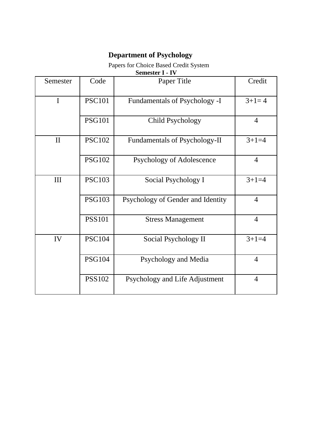## **Department of Psychology**

## Papers for Choice Based Credit System

| <b>Semester I - IV</b> |               |                               |         |  |  |
|------------------------|---------------|-------------------------------|---------|--|--|
| Semester               | Code          | Paper Title                   | Credit  |  |  |
|                        | <b>PSC101</b> | Fundamentals of Psychology -I | $3+1=4$ |  |  |

|              | <b>PSC101</b> | Fundamentals of Psychology -I     | $3+1=4$        |
|--------------|---------------|-----------------------------------|----------------|
|              | <b>PSG101</b> | Child Psychology                  | $\overline{4}$ |
| $\mathbf{I}$ | <b>PSC102</b> | Fundamentals of Psychology-II     | $3+1=4$        |
|              | <b>PSG102</b> | Psychology of Adolescence         | $\overline{4}$ |
| III          | <b>PSC103</b> | Social Psychology I               | $3+1=4$        |
|              | <b>PSG103</b> | Psychology of Gender and Identity | $\overline{4}$ |
|              | <b>PSS101</b> | <b>Stress Management</b>          | $\overline{4}$ |
| IV           | <b>PSC104</b> | Social Psychology II              | $3+1=4$        |
|              | <b>PSG104</b> | Psychology and Media              | $\overline{4}$ |
|              | <b>PSS102</b> | Psychology and Life Adjustment    | $\overline{4}$ |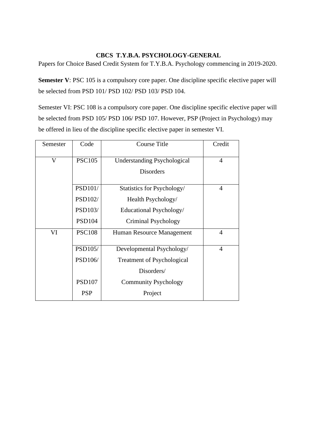## **CBCS T.Y.B.A. PSYCHOLOGY-GENERAL**

Papers for Choice Based Credit System for T.Y.B.A. Psychology commencing in 2019-2020.

**Semester V**: PSC 105 is a compulsory core paper. One discipline specific elective paper will be selected from PSD 101/ PSD 102/ PSD 103/ PSD 104.

Semester VI: PSC 108 is a compulsory core paper. One discipline specific elective paper will be selected from PSD 105/ PSD 106/ PSD 107. However, PSP (Project in Psychology) may be offered in lieu of the discipline specific elective paper in semester VI.

| Semester | Code           | <b>Course Title</b>                | Credit         |
|----------|----------------|------------------------------------|----------------|
| V        | <b>PSC105</b>  | <b>Understanding Psychological</b> | $\overline{4}$ |
|          |                | <b>Disorders</b>                   |                |
|          | <b>PSD101/</b> | Statistics for Psychology/         | $\overline{4}$ |
|          | PSD102/        | Health Psychology/                 |                |
|          | PSD103/        | Educational Psychology/            |                |
|          | <b>PSD104</b>  | Criminal Psychology                |                |
| VI       | <b>PSC108</b>  | Human Resource Management          | $\overline{4}$ |
|          | PSD105/        | Developmental Psychology/          | $\overline{4}$ |
|          | PSD106/        | <b>Treatment of Psychological</b>  |                |
|          |                | Disorders/                         |                |
|          | <b>PSD107</b>  | <b>Community Psychology</b>        |                |
|          | <b>PSP</b>     | Project                            |                |